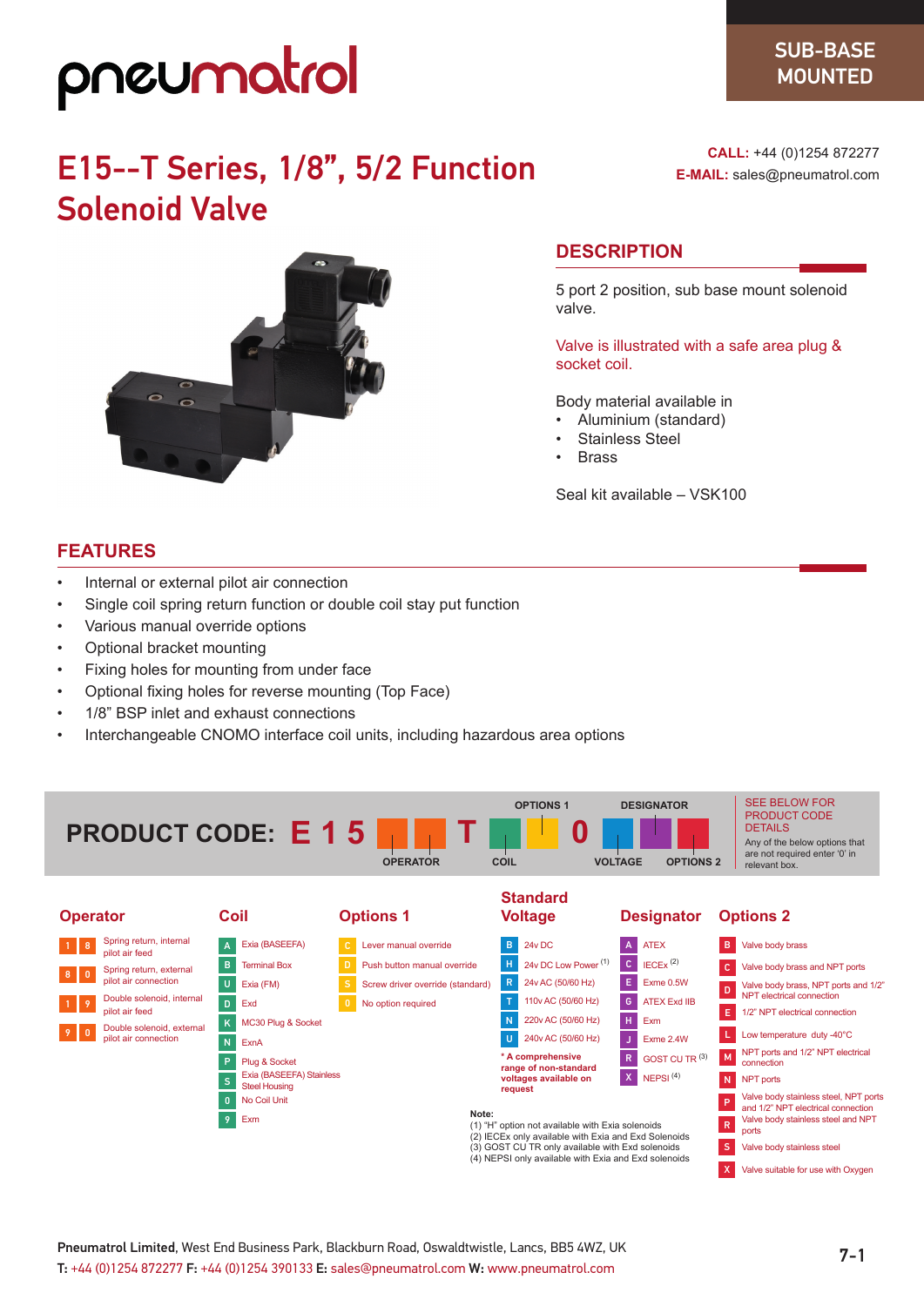# pneumatrol

## E15--T Series, 1/8", 5/2 Function Solenoid Valve



**CALL:** +44 (0)1254 872277 **E-MAIL:** sales@pneumatrol.com

#### **DESCRIPTION**

5 port 2 position, sub base mount solenoid valve.

Valve is illustrated with a safe area plug & socket coil.

Body material available in

- Aluminium (standard)
- Stainless Steel
- **Brass**

Seal kit available – VSK100

#### **FEATURES**

- Internal or external pilot air connection
- Single coil spring return function or double coil stay put function
- Various manual override options
- Optional bracket mounting
- Fixing holes for mounting from under face
- Optional fixing holes for reverse mounting (Top Face)
- 1/8" BSP inlet and exhaust connections
- Interchangeable CNOMO interface coil units, including hazardous area options



| <b>Operator</b>                                          | Coil                                                                      | <b>Options 1</b>                                                                                                                                                                                                              | <b>Voltage</b>                             | <b>Designator</b>            | <b>Options 2</b>                                                                 |
|----------------------------------------------------------|---------------------------------------------------------------------------|-------------------------------------------------------------------------------------------------------------------------------------------------------------------------------------------------------------------------------|--------------------------------------------|------------------------------|----------------------------------------------------------------------------------|
| Spring return, internal<br>$1 \vert 8$<br>pilot air feed | Exia (BASEEFA)                                                            | Lever manual override<br>$\mathbb{C}$                                                                                                                                                                                         | 24v DC<br>B.                               | <b>ATEX</b>                  | Valve body brass<br>B.                                                           |
| Spring return, external                                  | B<br><b>Terminal Box</b>                                                  | Push button manual override                                                                                                                                                                                                   | 24y DC Low Power <sup>(1)</sup><br>н       | $IECEx$ <sup>(2)</sup><br>C. | Valve body brass and NPT ports                                                   |
| $8$ 0<br>pilot air connection                            | U<br>Exia (FM)                                                            | Screw driver override (standard)                                                                                                                                                                                              | 24v AC (50/60 Hz)<br>R                     | Exme 0.5W<br>E.              | Valve body brass, NPT ports and 1/2"                                             |
| Double solenoid, internal<br>9                           | D<br>Exd                                                                  | No option required                                                                                                                                                                                                            | 110v AC (50/60 Hz)                         | <b>ATEX Exd IIB</b><br>G     | NPT electrical connection                                                        |
| pilot air feed<br>Double solenoid, external              | MC30 Plug & Socket<br>K                                                   |                                                                                                                                                                                                                               | 220v AC (50/60 Hz)                         | H<br>Exm                     | E.<br>1/2" NPT electrical connection                                             |
| 9 <sup>1</sup> 0<br>pilot air connection                 | N<br>ExnA                                                                 |                                                                                                                                                                                                                               | 240v AC (50/60 Hz)                         | Exme 2.4W                    | Low temperature duty -40°C                                                       |
|                                                          | Plug & Socket<br>P                                                        |                                                                                                                                                                                                                               | * A comprehensive<br>range of non-standard | GOST CU TR (3)<br>R          | NPT ports and 1/2" NPT electrical<br>M<br>connection                             |
|                                                          | Exia (BASEEFA) Stainless<br>voltages available on<br><b>Steel Housing</b> |                                                                                                                                                                                                                               |                                            | $\mathbf{X}$<br>NEPSI $(4)$  | N<br>NPT ports                                                                   |
|                                                          | No Coil Unit<br>$\mathbf{0}$                                              |                                                                                                                                                                                                                               | request                                    |                              | Valve body stainless steel, NPT ports<br>P<br>and 1/2" NPT electrical connection |
|                                                          | Exm<br>9 <sup>°</sup>                                                     | Note:<br>(1) "H" option not available with Exia solenoids<br>(2) IECEx only available with Exia and Exd Solenoids<br>(3) GOST CU TR only available with Exd solenoids<br>(4) NEPSI only available with Exia and Exd solenoids |                                            |                              | Valve body stainless steel and NPT<br>${\sf R}$                                  |
|                                                          |                                                                           |                                                                                                                                                                                                                               |                                            | ports                        |                                                                                  |
|                                                          |                                                                           |                                                                                                                                                                                                                               |                                            |                              | S.<br>Valve body stainless steel                                                 |
|                                                          |                                                                           |                                                                                                                                                                                                                               |                                            |                              | Valve suitable for use with Oxygen<br>$\mathsf{X}$                               |